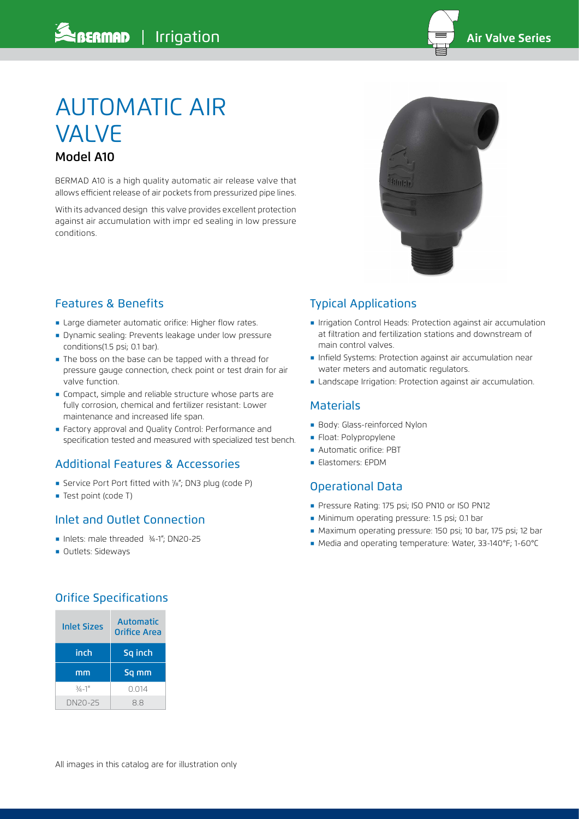

# AUTOMATIC AIR VALVE

### Model A10

BERMAD A10 is a high quality automatic air release valve that allows efficient release of air pockets from pressurized pipe lines.

With its advanced design this valve provides excellent protection against air accumulation with impr ed sealing in low pressure conditions.



#### Features & Benefits

- **EXEC** Large diameter automatic orifice: Higher flow rates.
- **Dynamic sealing: Prevents leakage under low pressure** conditions(1.5 psi; 0.1 bar).
- The boss on the base can be tapped with a thread for pressure gauge connection, check point or test drain for air valve function.
- ֺ Compact, simple and reliable structure whose parts are fully corrosion, chemical and fertilizer resistant: Lower maintenance and increased life span.
- ֺ Factory approval and Quality Control: Performance and specification tested and measured with specialized test bench.

#### Additional Features & Accessories

- ֺ Service Port Port fitted with 1 /8"; DN3 plug (code P)
- Test point (code T)

#### Inlet and Outlet Connection

- Inlets: male threaded ¾-1": DN20-25
- **Outlets: Sideways**

## Orifice Specifications

| <b>Inlet Sizes</b> | <b>Automatic</b><br><b>Orifice Area</b> |  |  |
|--------------------|-----------------------------------------|--|--|
| inch               | Sq inch                                 |  |  |
| mm                 | Sq mm                                   |  |  |
| $3/4 - 1$ "        | 0.014                                   |  |  |
| DN20-25            | 88                                      |  |  |

#### Typical Applications

- ֺ Irrigation Control Heads: Protection against air accumulation at filtration and fertilization stations and downstream of main control valves.
- ֺ Infield Systems: Protection against air accumulation near water meters and automatic regulators.
- **Landscape Irrigation: Protection against air accumulation.**

#### Materials

- **Body: Glass-reinforced Nylon**
- ֺ Float: Polypropylene
- **Automatic orifice: PBT**
- Elastomers: EPDM

#### Operational Data

- ֺ Pressure Rating: 175 psi; ISO PN10 or ISO PN12
- ֺ Minimum operating pressure: 1.5 psi; 0.1 bar
- ֺ Maximum operating pressure: 150 psi; 10 bar, 175 psi; 12 bar
- ֺ Media and operating temperature: Water, 33-140°F; 1-60°C